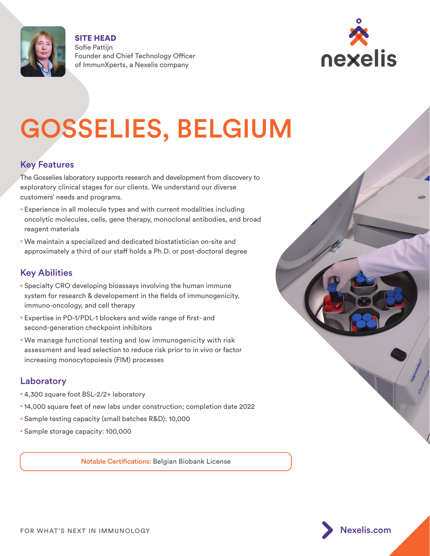

SITE HEAD Sofie Pattijn Founder and Chief Technology Officer of ImmunXperts, a Nexelis company



# GOSSELIES, BELGIUM

# Key Features

The Gosselies laboratory supports research and development from discovery to exploratory clinical stages for our clients. We understand our diverse customers' needs and programs.

- Experience in all molecule types and with current modalities including oncolytic molecules, cells, gene therapy, monoclonal antibodies, and broad reagent materials
- We maintain a specialized and dedicated biostatistician on-site and approximately a third of our staff holds a Ph.D. or post-doctoral degree

# Key Abilities

- Specialty CRO developing bioassays involving the human immune system for research & developement in the fields of immunogenicity, immuno-oncology, and cell therapy
- Expertise in PD-1/PDL-1 blockers and wide range of first- and second-generation checkpoint inhibitors
- We manage functional testing and low immunogenicity with risk assessment and lead selection to reduce risk prior to in vivo or factor increasing monocytopoiesis (FIM) processes

# Laboratory

- 4,300 square foot BSL-2/2+ laboratory
- 14,000 square feet of new labs under construction; completion date 2022
- Sample testing capacity (small batches R&D): 10,000
- Sample storage capacity: 100,000

Notable Certifications: Belgian Biobank License